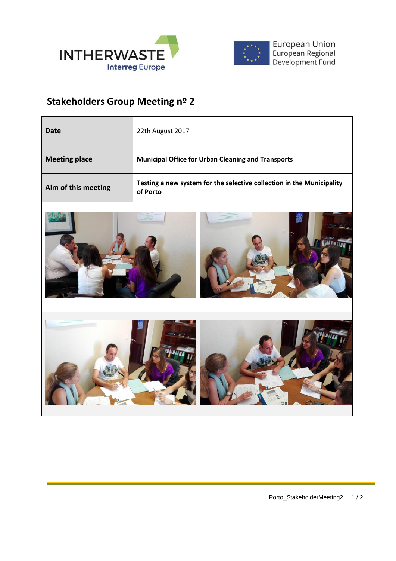



## **Stakeholders Group Meeting nº 2**

| Date                 | 22th August 2017                                                                  |
|----------------------|-----------------------------------------------------------------------------------|
| <b>Meeting place</b> | <b>Municipal Office for Urban Cleaning and Transports</b>                         |
| Aim of this meeting  | Testing a new system for the selective collection in the Municipality<br>of Porto |